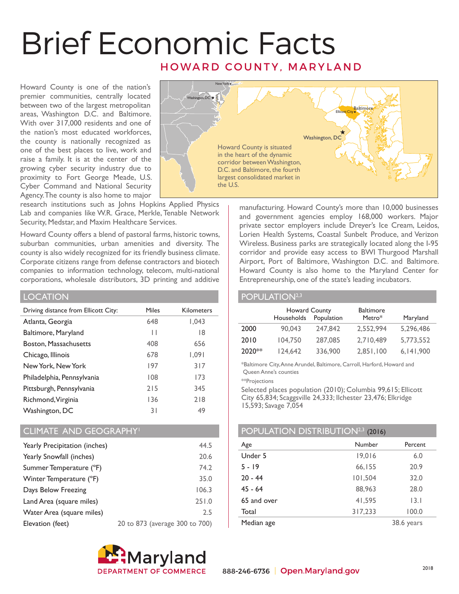# Brief Economic Facts HOWARD COUNTY, MARYLAND

Howard County is one of the nation's premier communities, centrally located between two of the largest metropolitan areas, Washington D.C. and Baltimore. With over 317,000 residents and one of the nation's most educated workforces, the county is nationally recognized as one of the best places to live, work and raise a family. It is at the center of the growing cyber security industry due to proximity to Fort George Meade, U.S. Cyber Command and National Security Agency. The county is also home to major



research institutions such as Johns Hopkins Applied Physics Lab and companies like W.R. Grace, Merkle, Tenable Network Security, Medstar, and Maxim Healthcare Services.

Howard County offers a blend of pastoral farms, historic towns, suburban communities, urban amenities and diversity. The county is also widely recognized for its friendly business climate. Corporate citizens range from defense contractors and biotech companies to information technology, telecom, multi-national corporations, wholesale distributors, 3D printing and additive

### LOCATION

| Driving distance from Ellicott City: | Miles | <b>Kilometers</b> |
|--------------------------------------|-------|-------------------|
| Atlanta, Georgia                     | 648   | 1,043             |
| Baltimore, Maryland                  | Н     | 18                |
| Boston, Massachusetts                | 408   | 656               |
| Chicago, Illinois                    | 678   | 1,091             |
| New York, New York                   | 197   | 317               |
| Philadelphia, Pennsylvania           | 108   | 173               |
| Pittsburgh, Pennsylvania             | 215   | 345               |
| Richmond, Virginia                   | 136   | 218               |
| Washington, DC                       | 31    | 49                |

## CLIMATE AND GEOGRAPHY1

| Yearly Precipitation (inches) | 44.5                           |
|-------------------------------|--------------------------------|
| Yearly Snowfall (inches)      | 20.6                           |
| Summer Temperature (°F)       | 74.2                           |
| Winter Temperature (°F)       | 35.0                           |
| Days Below Freezing           | 106.3                          |
| Land Area (square miles)      | 251.0                          |
| Water Area (square miles)     | 2.5                            |
| Elevation (feet)              | 20 to 873 (average 300 to 700) |



manufacturing. Howard County's more than 10,000 businesses and government agencies employ 168,000 workers. Major private sector employers include Dreyer's Ice Cream, Leidos, Lorien Health Systems, Coastal Sunbelt Produce, and Verizon Wireless. Business parks are strategically located along the I-95 corridor and provide easy access to BWI Thurgood Marshall Airport, Port of Baltimore, Washington D.C. and Baltimore. Howard County is also home to the Maryland Center for Entrepreneurship, one of the state's leading incubators.

### POPULATION<sup>2,3</sup>

|        | <b>Howard County</b><br>Households | Population | <b>Baltimore</b><br>Metro* | Maryland    |
|--------|------------------------------------|------------|----------------------------|-------------|
| 2000   | 90.043                             | 247,842    | 2.552.994                  | 5,296,486   |
| 2010   | 104,750                            | 287,085    | 2,710,489                  | 5,773,552   |
| 2020** | 124,642                            | 336,900    | 2,851,100                  | 6, 141, 900 |

\*Baltimore City, Anne Arundel, Baltimore, Carroll, Harford, Howard and Queen Anne's counties

\*\*Projections

Selected places population (2010); Columbia 99,615; Ellicott City 65,834; Scaggsville 24,333; Ilchester 23,476; Elkridge 15,593; Savage 7,054

## POPULATION DISTRIBUTION<sup>2,3</sup> (2016)

| Age         | Number  | Percent    |
|-------------|---------|------------|
| Under 5     | 19,016  | 6.0        |
| $5 - 19$    | 66,155  | 20.9       |
| $20 - 44$   | 101,504 | 32.0       |
| $45 - 64$   | 88,963  | 28.0       |
| 65 and over | 41,595  | 3.1        |
| Total       | 317,233 | 100.0      |
| Median age  |         | 38.6 years |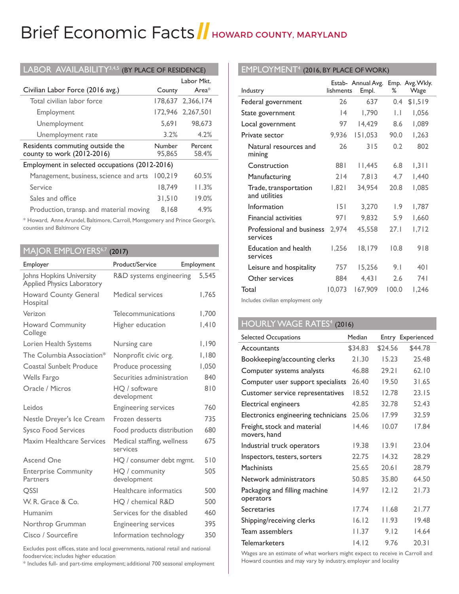# Brief Economic Facts | HOWARD COUNTY, MARYLAND

| LABOR AVAILABILITY <sup>3,4,5</sup> (BY PLACE OF RESIDENCE)   |                  |                   |  |
|---------------------------------------------------------------|------------------|-------------------|--|
|                                                               |                  | Labor Mkt.        |  |
| Civilian Labor Force (2016 avg.)                              | County           | Area $*$          |  |
| Total civilian labor force                                    |                  | 178,637 2,366,174 |  |
| Employment                                                    |                  | 172.946 2.267.501 |  |
| Unemployment                                                  | 5.691            | 98,673            |  |
| Unemployment rate                                             | 3.2%             | 4.2%              |  |
|                                                               |                  |                   |  |
| Residents commuting outside the<br>county to work (2012-2016) | Number<br>95,865 | Percent<br>58.4%  |  |
| Employment in selected occupations (2012-2016)                |                  |                   |  |
| Management, business, science and arts                        | 100.219          | 60.5%             |  |
| Service                                                       | 18.749           | 11.3%             |  |
| Sales and office                                              | 31,510           | 19.0%             |  |

\* Howard, Anne Arundel, Baltimore, Carroll, Montgomery and Prince George's, counties and Baltimore City

## MAJOR EMPLOYERS<sup>6,7</sup> (2017)

| Employer                                                      | Product/Service                        | Employment |
|---------------------------------------------------------------|----------------------------------------|------------|
| Johns Hopkins University<br><b>Applied Physics Laboratory</b> | R&D systems engineering                | 5.545      |
| <b>Howard County General</b><br>Hospital                      | Medical services                       | 1.765      |
| Verizon                                                       | Telecommunications                     | 1,700      |
| <b>Howard Community</b><br>College                            | Higher education                       | 1.410      |
| Lorien Health Systems                                         | Nursing care                           | 1,190      |
| The Columbia Association*                                     | Nonprofit civic org.                   | 1,180      |
| <b>Coastal Sunbelt Produce</b>                                | Produce processing                     | 1,050      |
| Wells Fargo                                                   | Securities administration              | 840        |
| Oracle / Micros                                               | HQ / software<br>development           | 810        |
| Leidos                                                        | <b>Engineering services</b>            | 760        |
| Nestle Dreyer's Ice Cream                                     | Frozen desserts                        | 735        |
| <b>Sysco Food Services</b>                                    | Food products distribution             | 680        |
| Maxim Healthcare Services                                     | Medical staffing, wellness<br>services | 675        |
| <b>Ascend One</b>                                             | HQ / consumer debt mgmt.               | 510        |
| <b>Enterprise Community</b><br>Partners                       | HO / community<br>development          | 505        |
| <b>OSSI</b>                                                   | Healthcare informatics                 | 500        |
| W. R. Grace & Co.                                             | HQ / chemical R&D                      | 500        |
| Humanim                                                       | Services for the disabled              | 460        |
| Northrop Grumman                                              | <b>Engineering services</b>            | 395        |
| Cisco / Sourcefire                                            | Information technology                 | 350        |

Excludes post offices, state and local governments, national retail and national foodservice; includes higher education

\* Includes full- and part-time employment; additional 700 seasonal employment

## EMPLOYMENT4 (2016, BY PLACE OF WORK)

| Industry                               | lishments | Estab- Annual Avg.<br>Empl. | ℅            | Emp. Avg. Wkly.<br>Wage |
|----------------------------------------|-----------|-----------------------------|--------------|-------------------------|
| Federal government                     | 26        | 637                         | 0.4          | \$1,519                 |
| State government                       | 4         | 1,790                       | $\mathsf{L}$ | 1,056                   |
| Local government                       | 97        | 14,429                      | 8.6          | 1,089                   |
| Private sector                         | 9,936     | 151,053                     | 90.0         | 1,263                   |
| Natural resources and<br>mining        | 26        | 315                         | 0.2          | 802                     |
| Construction                           | 881       | I I,445                     | 6.8          | 1,311                   |
| Manufacturing                          | 214       | 7,813                       | 4.7          | 1,440                   |
| Trade, transportation<br>and utilities | 1,821     | 34,954                      | 20.8         | 1,085                   |
| Information                            | 5         | 3,270                       | 1.9          | I,787                   |
| <b>Financial activities</b>            | 971       | 9,832                       | 5.9          | 1,660                   |
| Professional and business<br>services  | 2,974     | 45,558                      | 27.1         | 1,712                   |
| Education and health<br>services       | 1,256     | 18,179                      | 10.8         | 918                     |
| Leisure and hospitality                | 757       | 15,256                      | 9.1          | 401                     |
| Other services                         | 884       | 4,431                       | 2.6          | 74 I                    |
| Total                                  | 10,073    | 167,909                     | 100.0        | 1,246                   |

Includes civilian employment only

# HOURLY WAGE RATES<sup>4</sup> (2016)

| Selected Occupations                        | Median  |         | Entry Experienced |
|---------------------------------------------|---------|---------|-------------------|
| Accountants                                 | \$34.83 | \$24.56 | \$44.78           |
| Bookkeeping/accounting clerks               | 21.30   | 15.23   | 25.48             |
| Computer systems analysts                   | 46.88   | 29.21   | 62.10             |
| Computer user support specialists           | 26.40   | 19.50   | 31.65             |
| Customer service representatives            | 18.52   | 12.78   | 23.15             |
| Electrical engineers                        | 42.85   | 32.78   | 52.43             |
| Electronics engineering technicians         | 25.06   | 17.99   | 32.59             |
| Freight, stock and material<br>movers, hand | 14.46   | 10.07   | 17.84             |
| Industrial truck operators                  | 19.38   | 13.91   | 23.04             |
| Inspectors, testers, sorters                | 22.75   | 14.32   | 28.29             |
| <b>Machinists</b>                           | 25.65   | 20.61   | 28.79             |
| Network administrators                      | 50.85   | 35.80   | 64.50             |
| Packaging and filling machine<br>operators  | 14.97   | 12.12   | 21.73             |
| Secretaries                                 | 17.74   | 11.68   | 21.77             |
| Shipping/receiving clerks                   | 16.12   | 11.93   | 19.48             |
| Team assemblers                             | 11.37   | 9.12    | 14.64             |
| <b>Telemarketers</b>                        | 14.12   | 9.76    | 20.31             |

Wages are an estimate of what workers might expect to receive in Carroll and Howard counties and may vary by industry, employer and locality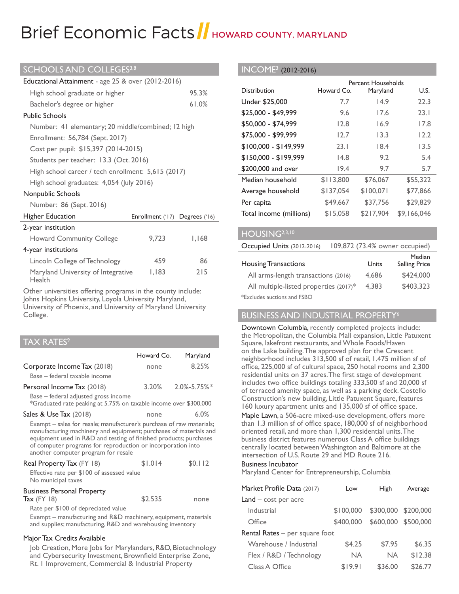# Brief Economic Facts HowARD COUNTY, MARYLAND

#### SCHOOLS AND COLLEGES<sup>3,8</sup>

| Educational Attainment - age 25 & over (2012-2016) |                                |       |  |
|----------------------------------------------------|--------------------------------|-------|--|
| 95.3%<br>High school graduate or higher            |                                |       |  |
| Bachelor's degree or higher                        |                                | 61.0% |  |
| <b>Public Schools</b>                              |                                |       |  |
| Number: 41 elementary; 20 middle/combined; 12 high |                                |       |  |
| Enrollment: 56,784 (Sept. 2017)                    |                                |       |  |
| Cost per pupil: \$15,397 (2014-2015)               |                                |       |  |
| Students per teacher: 13.3 (Oct. 2016)             |                                |       |  |
| High school career / tech enrollment: 5,615 (2017) |                                |       |  |
| High school graduates: 4,054 (July 2016)           |                                |       |  |
| Nonpublic Schools                                  |                                |       |  |
| Number: 86 (Sept. 2016)                            |                                |       |  |
| Higher Education                                   | Enrollment ('17) Degrees ('16) |       |  |
| 2-year institution                                 |                                |       |  |
| <b>Howard Community College</b><br>9,723<br>I, 168 |                                |       |  |
| 4-year institutions                                |                                |       |  |
| Lincoln College of Technology                      | 459                            | 86    |  |
| Maryland University of Integrative<br>Health       | I, 183                         | 215   |  |

Other universities offering programs in the county include: Johns Hopkins University, Loyola University Maryland, University of Phoenix, and University of Maryland University College.

# TAX RATES $^{\circ}$

|                                                                                                                                                                                                                                                                                                                      | Howard Co. | Maryland           |  |
|----------------------------------------------------------------------------------------------------------------------------------------------------------------------------------------------------------------------------------------------------------------------------------------------------------------------|------------|--------------------|--|
| Corporate Income Tax (2018)                                                                                                                                                                                                                                                                                          | none       | 8.25%              |  |
| Base – federal taxable income                                                                                                                                                                                                                                                                                        |            |                    |  |
| Personal Income Tax (2018)                                                                                                                                                                                                                                                                                           | 3.20%      | $2.0\%$ -5.75% $*$ |  |
| Base – federal adjusted gross income<br>*Graduated rate peaking at 5.75% on taxable income over \$300,000                                                                                                                                                                                                            |            |                    |  |
| Sales & Use Tax (2018)                                                                                                                                                                                                                                                                                               | none       | 6.0%               |  |
| Exempt – sales for resale; manufacturer's purchase of raw materials;<br>manufacturing machinery and equipment; purchases of materials and<br>equipment used in R&D and testing of finished products; purchases<br>of computer programs for reproduction or incorporation into<br>another computer program for resale |            |                    |  |
| Real Property Tax (FY 18)<br>Effective rate per \$100 of assessed value<br>No municipal taxes                                                                                                                                                                                                                        | \$1.014    | \$0.112            |  |
| <b>Business Personal Property</b><br>Tax $(FY   8)$<br>Rate per \$100 of depreciated value<br>Exempt – manufacturing and R&D machinery, equipment, materials<br>and supplies; manufacturing, R&D and warehousing inventory                                                                                           | \$2.535    | none               |  |
| Major Tax Credits Available                                                                                                                                                                                                                                                                                          |            |                    |  |

Job Creation, More Jobs for Marylanders, R&D, Biotechnology and Cybersecurity Investment, Brownfield Enterprise Zone, Rt. 1 Improvement, Commercial & Industrial Property

#### INCOME3 (2012-2016)

|                         |            | Percent Households |             |
|-------------------------|------------|--------------------|-------------|
| Distribution            | Howard Co. | Maryland           | U.S.        |
| Under \$25,000          | 7.7        | 14.9               | 22.3        |
| \$25,000 - \$49,999     | 9.6        | 17.6               | 23.1        |
| \$50,000 - \$74,999     | 12.8       | 16.9               | 17.8        |
| \$75,000 - \$99,999     | 12.7       | 13.3               | 12.2        |
| $$100,000 - $149,999$   | 23.1       | 18.4               | 13.5        |
| $$150,000 - $199,999$   | 14.8       | 9.2                | 5.4         |
| \$200,000 and over      | 19.4       | 9.7                | 5.7         |
| Median household        | \$113,800  | \$76,067           | \$55,322    |
| Average household       | \$137,054  | \$100.071          | \$77.866    |
| Per capita              | \$49,667   | \$37.756           | \$29.829    |
| Total income (millions) | \$15.058   | \$217.904          | \$9.166.046 |

#### HOUSING<sup>2,3,10</sup>

Occupied Units (2012-2016) 109,872 (73.4% owner occupied)

|                                        |       | Median               |
|----------------------------------------|-------|----------------------|
| <b>Housing Transactions</b>            | Units | <b>Selling Price</b> |
| All arms-length transactions (2016)    | 4.686 | \$424,000            |
| All multiple-listed properties (2017)* | 4.383 | \$403,323            |
| *Excludes auctions and FSBO            |       |                      |

BUSINESS AND INDUSTRIAL PROPERTY6

Downtown Columbia, recently completed projects include: the Metropolitan, the Columbia Mall expansion, Little Patuxent Square, lakefront restaurants, and Whole Foods/Haven on the Lake building. The approved plan for the Crescent neighborhood includes 313,500 sf of retail, 1.475 million sf of office, 225,000 sf of cultural space, 250 hotel rooms and 2,300 residential units on 37 acres. The first stage of development includes two office buildings totaling 333,500 sf and 20,000 sf of terraced amenity space, as well as a parking deck. Costello Construction's new building, Little Patuxent Square, features 160 luxury apartment units and 135,000 sf of office space.

Maple Lawn, a 506-acre mixed-use development, offers more than 1.3 million sf of office space, 180,000 sf of neighborhood oriented retail, and more than 1,300 residential units. The business district features numerous Class A office buildings centrally located between Washington and Baltimore at the intersection of U.S. Route 29 and MD Route 216.

#### Business Incubator

Maryland Center for Entrepreneurship, Columbia

| Market Profile Data (2017)       | Low       | High                | Average   |
|----------------------------------|-----------|---------------------|-----------|
| $Land - cost per acre$           |           |                     |           |
| Industrial                       | \$100,000 | \$300,000           | \$200,000 |
| Office                           | \$400,000 | \$600,000 \$500,000 |           |
| Rental Rates $-$ per square foot |           |                     |           |
| Warehouse / Industrial           | \$4.25    | \$7.95              | \$6.35    |
| Flex / R&D / Technology          | <b>NA</b> | <b>NA</b>           | \$12.38   |
| Class A Office                   | \$19.91   | \$36.00             | \$26.77   |